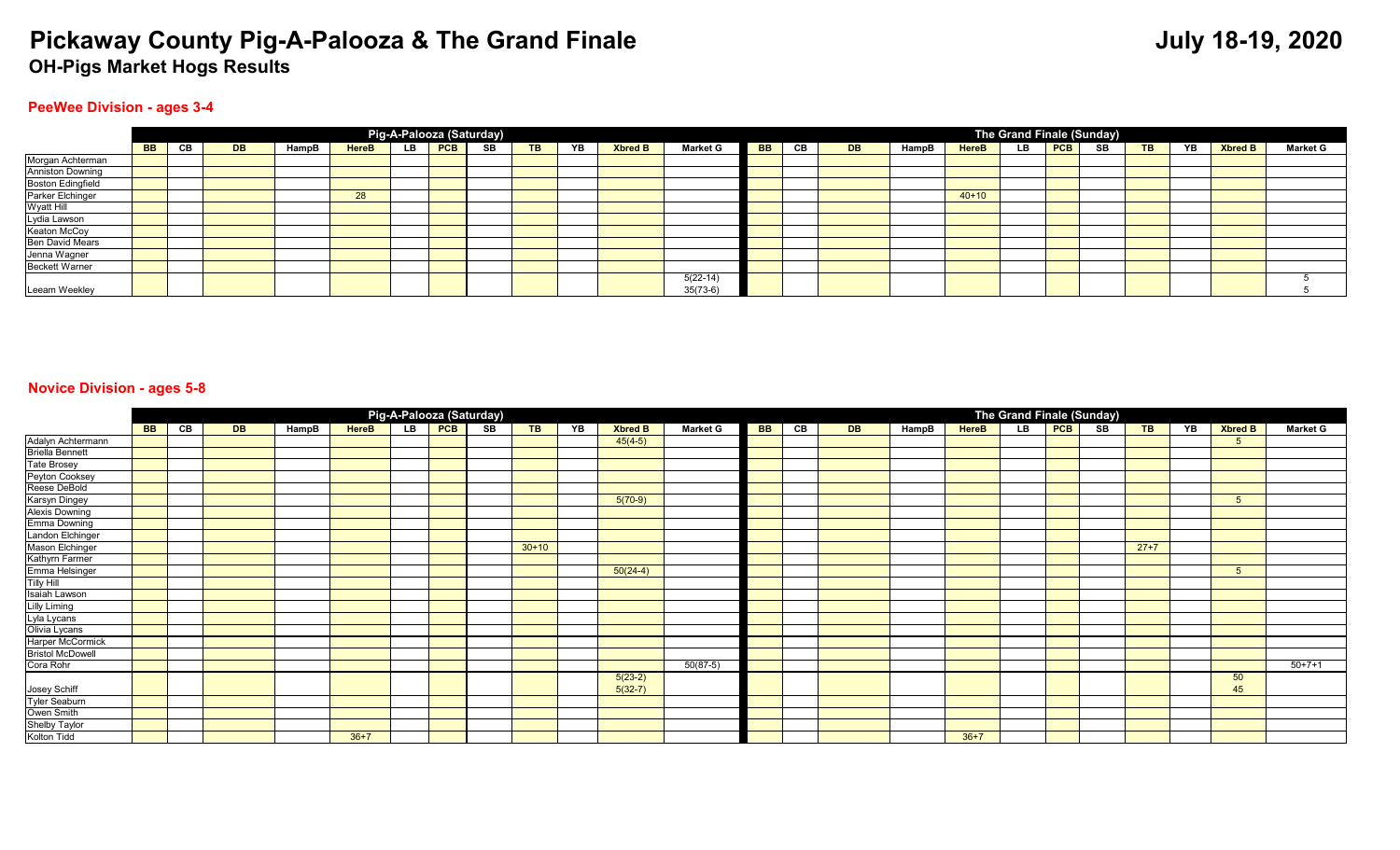#### **PeeWee Division - ages 3-4**

|                          |           |    |           |       |              |     |            | Pig-A-Palooza (Saturday) |           |    |                |                 |           |     |           |       |              | The Grand Finale (Sunday) |         |    |    |                |                 |
|--------------------------|-----------|----|-----------|-------|--------------|-----|------------|--------------------------|-----------|----|----------------|-----------------|-----------|-----|-----------|-------|--------------|---------------------------|---------|----|----|----------------|-----------------|
|                          | <b>BB</b> | CB | <b>DB</b> | HampB | <b>HereB</b> | LB. | <b>PCB</b> | SB                       | <b>TB</b> | YB | <b>Xbred B</b> | <b>Market G</b> | <b>BB</b> | CB. | <b>DB</b> | HampB | <b>HereB</b> | <b>LB</b>                 | $ $ PCB | SB | YB | <b>Xbred B</b> | <b>Market G</b> |
| Morgan Achterman         |           |    |           |       |              |     |            |                          |           |    |                |                 |           |     |           |       |              |                           |         |    |    |                |                 |
| <b>Anniston Downing</b>  |           |    |           |       |              |     |            |                          |           |    |                |                 |           |     |           |       |              |                           |         |    |    |                |                 |
| <b>Boston Edingfield</b> |           |    |           |       |              |     |            |                          |           |    |                |                 |           |     |           |       |              |                           |         |    |    |                |                 |
| Parker Elchinger         |           |    |           |       | 28           |     |            |                          |           |    |                |                 |           |     |           |       | $40+10$      |                           |         |    |    |                |                 |
| Wyatt Hill               |           |    |           |       |              |     |            |                          |           |    |                |                 |           |     |           |       |              |                           |         |    |    |                |                 |
| Lydia Lawson             |           |    |           |       |              |     |            |                          |           |    |                |                 |           |     |           |       |              |                           |         |    |    |                |                 |
| Keaton McCoy             |           |    |           |       |              |     |            |                          |           |    |                |                 |           |     |           |       |              |                           |         |    |    |                |                 |
| <b>Ben David Mears</b>   |           |    |           |       |              |     |            |                          |           |    |                |                 |           |     |           |       |              |                           |         |    |    |                |                 |
| Jenna Wagner             |           |    |           |       |              |     |            |                          |           |    |                |                 |           |     |           |       |              |                           |         |    |    |                |                 |
| <b>Beckett Warner</b>    |           |    |           |       |              |     |            |                          |           |    |                |                 |           |     |           |       |              |                           |         |    |    |                |                 |
|                          |           |    |           |       |              |     |            |                          |           |    |                | $5(22-14)$      |           |     |           |       |              |                           |         |    |    |                |                 |
| Leeam Weekley            |           |    |           |       |              |     |            |                          |           |    |                | $35(73-6)$      |           |     |           |       |              |                           |         |    |    |                |                 |

#### **Novice Division - ages 5-8**

|                                              |           |    |           |       |              |     | Pig-A-Palooza (Saturday) |           |    |            |            |              |                |     |    |                 | The Grand Finale (Sunday) |                |                 |        |  |            |          |
|----------------------------------------------|-----------|----|-----------|-------|--------------|-----|--------------------------|-----------|----|------------|------------|--------------|----------------|-----|----|-----------------|---------------------------|----------------|-----------------|--------|--|------------|----------|
|                                              | <b>BB</b> | CВ | <b>DB</b> | HampB | <b>HereB</b> | YB. | <b>Xbred B</b>           | <b>BB</b> | CB | <b>DB</b>  | HampB      | <b>HereB</b> | $\overline{L}$ | PCB | SB | $\overline{AB}$ | YB                        | <b>Xbred B</b> | <b>Market G</b> |        |  |            |          |
| Adalyn Achtermann<br>Briella Bennett         |           |    |           |       |              |     |                          |           |    | $45(4-5)$  |            |              |                |     |    |                 |                           |                |                 |        |  | 5          |          |
|                                              |           |    |           |       |              |     |                          |           |    |            |            |              |                |     |    |                 |                           |                |                 |        |  |            |          |
| <b>Tate Brosey</b>                           |           |    |           |       |              |     |                          |           |    |            |            |              |                |     |    |                 |                           |                |                 |        |  |            |          |
| Peyton Cooksey                               |           |    |           |       |              |     |                          |           |    |            |            |              |                |     |    |                 |                           |                |                 |        |  |            |          |
| Reese DeBold                                 |           |    |           |       |              |     |                          |           |    |            |            |              |                |     |    |                 |                           |                |                 |        |  |            |          |
| Karsyn Dingey                                |           |    |           |       |              |     |                          |           |    | $5(70-9)$  |            |              |                |     |    |                 |                           |                |                 |        |  | $\sqrt{5}$ |          |
| Alexis Downing                               |           |    |           |       |              |     |                          |           |    |            |            |              |                |     |    |                 |                           |                |                 |        |  |            |          |
| Emma Downing                                 |           |    |           |       |              |     |                          |           |    |            |            |              |                |     |    |                 |                           |                |                 |        |  |            |          |
| Landon Elchinger                             |           |    |           |       |              |     |                          |           |    |            |            |              |                |     |    |                 |                           |                |                 |        |  |            |          |
| Mason Elchinger                              |           |    |           |       |              |     |                          | $30+10$   |    |            |            |              |                |     |    |                 |                           |                |                 | $27+7$ |  |            |          |
| Kathyrn Farmer                               |           |    |           |       |              |     |                          |           |    |            |            |              |                |     |    |                 |                           |                |                 |        |  |            |          |
| Emma Helsinger                               |           |    |           |       |              |     |                          |           |    | $50(24-4)$ |            |              |                |     |    |                 |                           |                |                 |        |  | 5          |          |
| <b>Tilly Hill</b>                            |           |    |           |       |              |     |                          |           |    |            |            |              |                |     |    |                 |                           |                |                 |        |  |            |          |
| Isaiah Lawson                                |           |    |           |       |              |     |                          |           |    |            |            |              |                |     |    |                 |                           |                |                 |        |  |            |          |
|                                              |           |    |           |       |              |     |                          |           |    |            |            |              |                |     |    |                 |                           |                |                 |        |  |            |          |
|                                              |           |    |           |       |              |     |                          |           |    |            |            |              |                |     |    |                 |                           |                |                 |        |  |            |          |
| Lilly Liming<br>Lyla Lycans<br>Olivia Lycans |           |    |           |       |              |     |                          |           |    |            |            |              |                |     |    |                 |                           |                |                 |        |  |            |          |
| Harper McCormick                             |           |    |           |       |              |     |                          |           |    |            |            |              |                |     |    |                 |                           |                |                 |        |  |            |          |
| <b>Bristol McDowell</b>                      |           |    |           |       |              |     |                          |           |    |            |            |              |                |     |    |                 |                           |                |                 |        |  |            |          |
| Cora Rohr                                    |           |    |           |       |              |     |                          |           |    |            | $50(87-5)$ |              |                |     |    |                 |                           |                |                 |        |  |            | $50+7+1$ |
|                                              |           |    |           |       |              |     |                          |           |    | $5(23-2)$  |            |              |                |     |    |                 |                           |                |                 |        |  | 50         |          |
| Josey Schiff<br>Tyler Seaburn                |           |    |           |       |              |     |                          |           |    | $5(32-7)$  |            |              |                |     |    |                 |                           |                |                 |        |  | 45         |          |
|                                              |           |    |           |       |              |     |                          |           |    |            |            |              |                |     |    |                 |                           |                |                 |        |  |            |          |
| Owen Smith                                   |           |    |           |       |              |     |                          |           |    |            |            |              |                |     |    |                 |                           |                |                 |        |  |            |          |
| Shelby Taylor<br>Kolton Tidd                 |           |    |           |       |              |     |                          |           |    |            |            |              |                |     |    |                 |                           |                |                 |        |  |            |          |
|                                              |           |    |           |       | $36+7$       |     |                          |           |    |            |            |              |                |     |    | $36+7$          |                           |                |                 |        |  |            |          |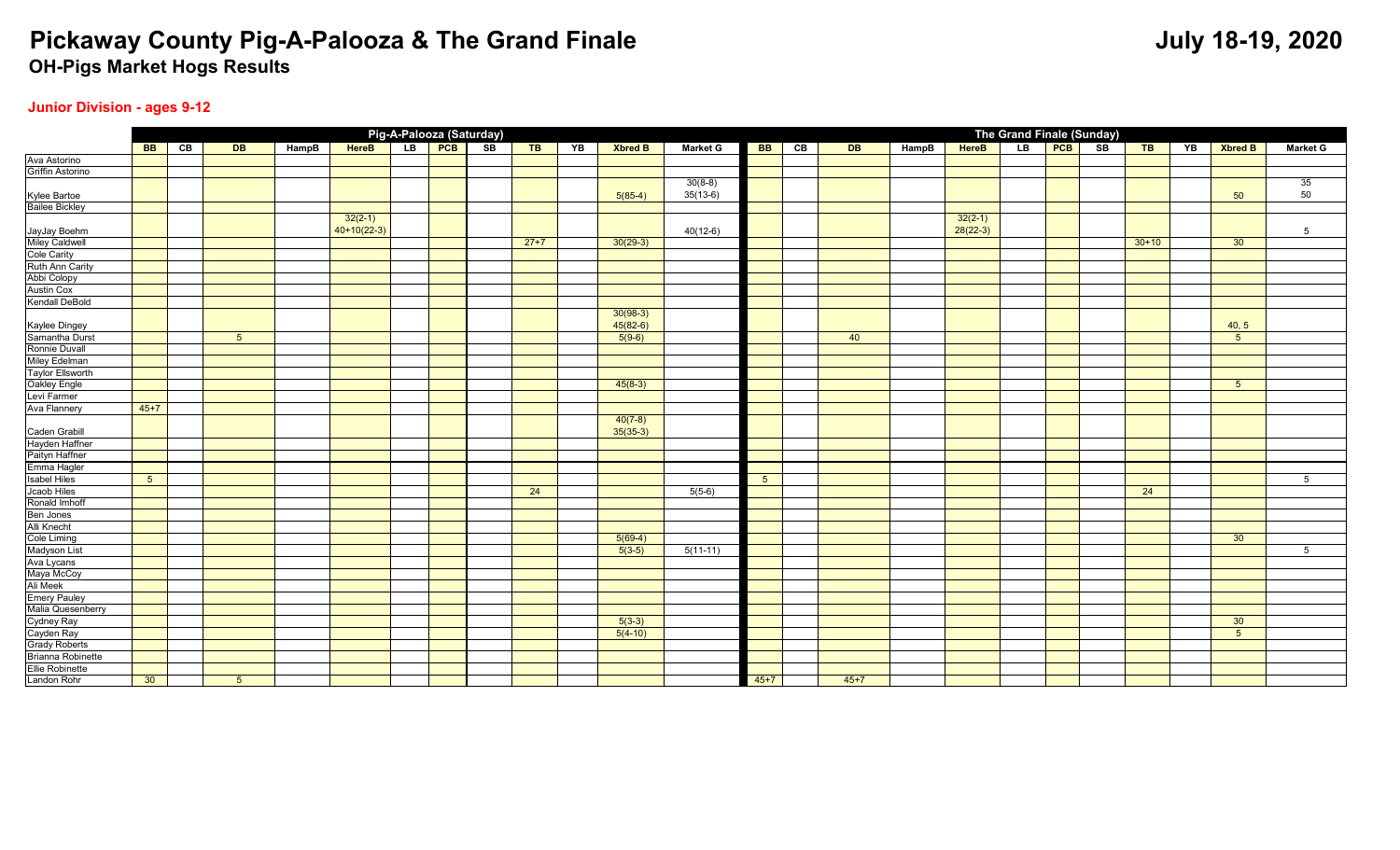### **Junior Division - ages 9-12**

|                                |                |    |                |       |               | Pig-A-Palooza (Saturday) |        |    |                         |                 |                |    |                 |       |            | The Grand Finale (Sunday) |               |         |    |                 |                 |
|--------------------------------|----------------|----|----------------|-------|---------------|--------------------------|--------|----|-------------------------|-----------------|----------------|----|-----------------|-------|------------|---------------------------|---------------|---------|----|-----------------|-----------------|
|                                | BB             | CB | DE             | HampB | <b>HereB</b>  | LB <b>PCB</b> SB         | $T$ B  | YB | Xbred B                 | <b>Market G</b> | <b>BB</b>      | CE | $\overline{DB}$ | HampB | HereB      | LB                        | <b>PCB</b> SB | $T$ B   | YB | <b>Xbred B</b>  | <b>Market G</b> |
| Ava Astorino                   |                |    |                |       |               |                          |        |    |                         |                 |                |    |                 |       |            |                           |               |         |    |                 |                 |
| Griffin Astorino               |                |    |                |       |               |                          |        |    |                         |                 |                |    |                 |       |            |                           |               |         |    |                 |                 |
|                                |                |    |                |       |               |                          |        |    |                         | $30(8-8)$       |                |    |                 |       |            |                           |               |         |    |                 | 35              |
|                                |                |    |                |       |               |                          |        |    | $5(85-4)$               | $35(13-6)$      |                |    |                 |       |            |                           |               |         |    | 50              | 50              |
| Kylee Bartoe<br>Bailee Bickley |                |    |                |       |               |                          |        |    |                         |                 |                |    |                 |       |            |                           |               |         |    |                 |                 |
|                                |                |    |                |       | $32(2-1)$     |                          |        |    |                         |                 |                |    |                 |       | $32(2-1)$  |                           |               |         |    |                 |                 |
| JayJay Boehm                   |                |    |                |       | $40+10(22-3)$ |                          |        |    |                         | $40(12-6)$      |                |    |                 |       | $28(22-3)$ |                           |               |         |    |                 | 5               |
| Miley Caldwell                 |                |    |                |       |               |                          | $27+7$ |    | $30(29-3)$              |                 |                |    |                 |       |            |                           |               | $30+10$ |    | 30              |                 |
| <b>Cole Carity</b>             |                |    |                |       |               |                          |        |    |                         |                 |                |    |                 |       |            |                           |               |         |    |                 |                 |
| Ruth Ann Carity                |                |    |                |       |               |                          |        |    |                         |                 |                |    |                 |       |            |                           |               |         |    |                 |                 |
| Abbi Colopy                    |                |    |                |       |               |                          |        |    |                         |                 |                |    |                 |       |            |                           |               |         |    |                 |                 |
| <b>Austin Cox</b>              |                |    |                |       |               |                          |        |    |                         |                 |                |    |                 |       |            |                           |               |         |    |                 |                 |
| <b>Kendall DeBold</b>          |                |    |                |       |               |                          |        |    |                         |                 |                |    |                 |       |            |                           |               |         |    |                 |                 |
|                                |                |    |                |       |               |                          |        |    | $30(98-3)$              |                 |                |    |                 |       |            |                           |               |         |    |                 |                 |
| Kaylee Dingey                  |                |    |                |       |               |                          |        |    | $45(82-6)$              |                 |                |    |                 |       |            |                           |               |         |    | 40, 5           |                 |
| Samantha Durst                 |                |    | 5 <sup>5</sup> |       |               |                          |        |    | $5(9-6)$                |                 |                |    | 40              |       |            |                           |               |         |    | $5\overline{5}$ |                 |
| Ronnie Duvall                  |                |    |                |       |               |                          |        |    |                         |                 |                |    |                 |       |            |                           |               |         |    |                 |                 |
| Miley Edelman                  |                |    |                |       |               |                          |        |    |                         |                 |                |    |                 |       |            |                           |               |         |    |                 |                 |
| <b>Taylor Ellsworth</b>        |                |    |                |       |               |                          |        |    |                         |                 |                |    |                 |       |            |                           |               |         |    |                 |                 |
| Oakley Engle                   |                |    |                |       |               |                          |        |    | $45(8-3)$               |                 |                |    |                 |       |            |                           |               |         |    | $5\overline{)}$ |                 |
| Levi Farmer                    |                |    |                |       |               |                          |        |    |                         |                 |                |    |                 |       |            |                           |               |         |    |                 |                 |
| <b>Ava Flannery</b>            | $45 + 7$       |    |                |       |               |                          |        |    |                         |                 |                |    |                 |       |            |                           |               |         |    |                 |                 |
| Caden Grabill                  |                |    |                |       |               |                          |        |    | $40(7-8)$<br>$35(35-3)$ |                 |                |    |                 |       |            |                           |               |         |    |                 |                 |
| Hayden Haffner                 |                |    |                |       |               |                          |        |    |                         |                 |                |    |                 |       |            |                           |               |         |    |                 |                 |
| Paityn Haffner                 |                |    |                |       |               |                          |        |    |                         |                 |                |    |                 |       |            |                           |               |         |    |                 |                 |
| Emma Hagler                    |                |    |                |       |               |                          |        |    |                         |                 |                |    |                 |       |            |                           |               |         |    |                 |                 |
| <b>Isabel Hiles</b>            | 5 <sup>5</sup> |    |                |       |               |                          |        |    |                         |                 | 5 <sup>5</sup> |    |                 |       |            |                           |               |         |    |                 | 5               |
| Jcaob Hiles                    |                |    |                |       |               |                          | 24     |    |                         | $5(5-6)$        |                |    |                 |       |            |                           |               | 24      |    |                 |                 |
| Ronald Imhoff                  |                |    |                |       |               |                          |        |    |                         |                 |                |    |                 |       |            |                           |               |         |    |                 |                 |
| Ben Jones                      |                |    |                |       |               |                          |        |    |                         |                 |                |    |                 |       |            |                           |               |         |    |                 |                 |
| Alli Knecht                    |                |    |                |       |               |                          |        |    |                         |                 |                |    |                 |       |            |                           |               |         |    |                 |                 |
| Cole Liming                    |                |    |                |       |               |                          |        |    | $5(69-4)$               |                 |                |    |                 |       |            |                           |               |         |    | 30 <sup>°</sup> |                 |
| <b>Madyson List</b>            |                |    |                |       |               |                          |        |    | $5(3-5)$                | $5(11-11)$      |                |    |                 |       |            |                           |               |         |    |                 | $5\overline{5}$ |
| Ava Lycans                     |                |    |                |       |               |                          |        |    |                         |                 |                |    |                 |       |            |                           |               |         |    |                 |                 |
| Maya McCoy                     |                |    |                |       |               |                          |        |    |                         |                 |                |    |                 |       |            |                           |               |         |    |                 |                 |
| Ali Meek                       |                |    |                |       |               |                          |        |    |                         |                 |                |    |                 |       |            |                           |               |         |    |                 |                 |
| <b>Emery Pauley</b>            |                |    |                |       |               |                          |        |    |                         |                 |                |    |                 |       |            |                           |               |         |    |                 |                 |
| Malia Quesenberry              |                |    |                |       |               |                          |        |    |                         |                 |                |    |                 |       |            |                           |               |         |    |                 |                 |
| Cydney Ray                     |                |    |                |       |               |                          |        |    | $5(3-3)$                |                 |                |    |                 |       |            |                           |               |         |    | 30 <sup>°</sup> |                 |
| Cayden Ray                     |                |    |                |       |               |                          |        |    | $5(4-10)$               |                 |                |    |                 |       |            |                           |               |         |    | $5\phantom{.0}$ |                 |
| <b>Grady Roberts</b>           |                |    |                |       |               |                          |        |    |                         |                 |                |    |                 |       |            |                           |               |         |    |                 |                 |
| Brianna Robinette              |                |    |                |       |               |                          |        |    |                         |                 |                |    |                 |       |            |                           |               |         |    |                 |                 |
| <b>Ellie Robinette</b>         |                |    |                |       |               |                          |        |    |                         |                 |                |    |                 |       |            |                           |               |         |    |                 |                 |
| Landon Rohr                    | 30             |    | 5 <sup>5</sup> |       |               |                          |        |    |                         |                 | $45+7$         |    | $45+7$          |       |            |                           |               |         |    |                 |                 |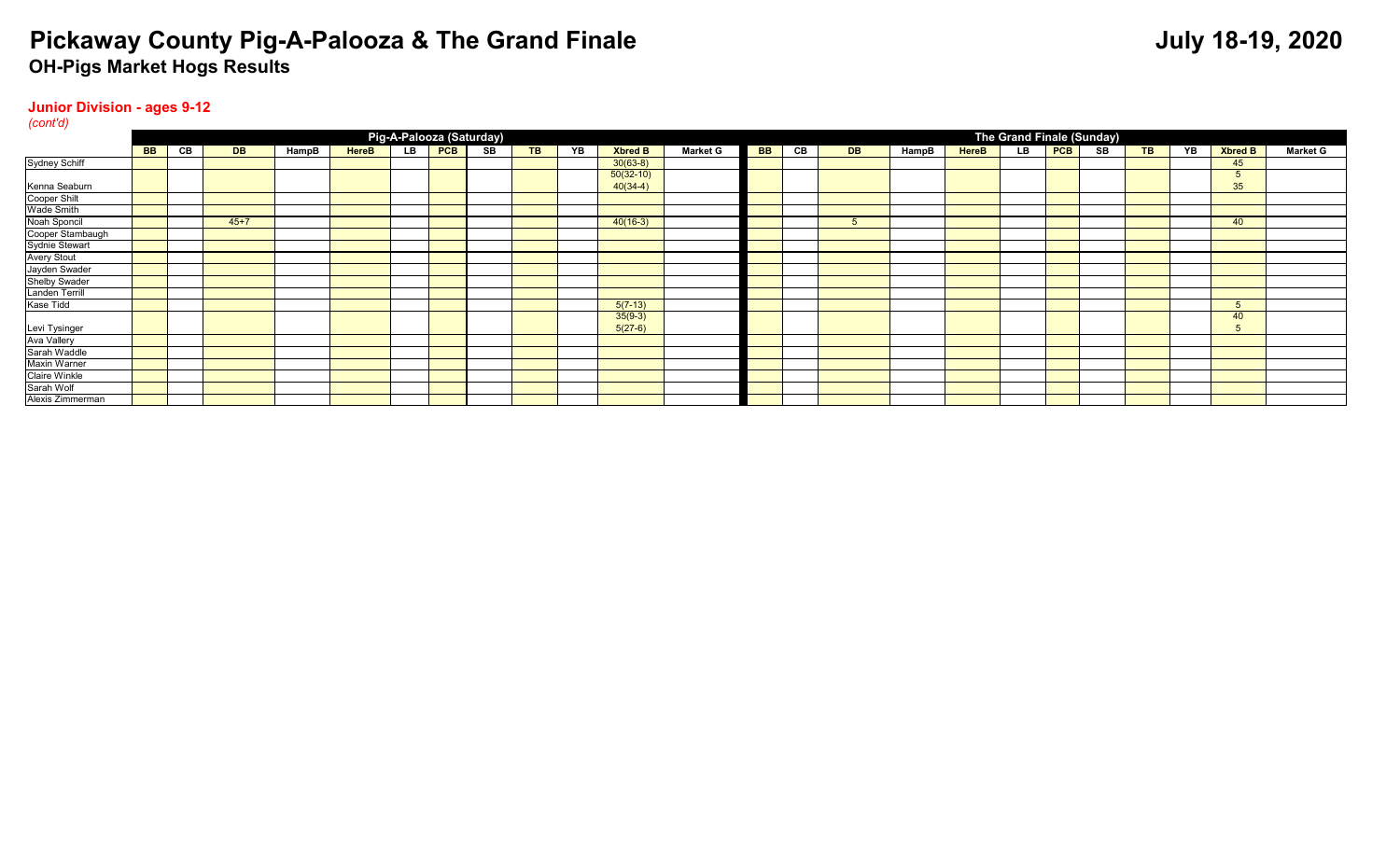#### **Junior Division - ages 9-12**

| (cont'd)              |           |                                       |           |       |              |    |            |    |  |    |                |                 |           |    |           |       |              |    |            |                           |           |    |                |                 |
|-----------------------|-----------|---------------------------------------|-----------|-------|--------------|----|------------|----|--|----|----------------|-----------------|-----------|----|-----------|-------|--------------|----|------------|---------------------------|-----------|----|----------------|-----------------|
|                       |           | Pig-A-Palooza (Saturday)<br><b>TB</b> |           |       |              |    |            |    |  |    |                |                 |           |    |           |       |              |    |            | The Grand Finale (Sunday) |           |    |                |                 |
|                       | <b>BB</b> | CВ                                    | <b>DB</b> | HampB | <b>HereB</b> | LB | <b>PCB</b> | SB |  | YB | <b>Xbred B</b> | <b>Market G</b> | <b>BB</b> | CВ | <b>DB</b> | HampB | <b>HereB</b> | LB | <b>PCB</b> | SB                        | <b>TB</b> | YB | <b>Xbred B</b> | <b>Market G</b> |
| Sydney Schiff         |           |                                       |           |       |              |    |            |    |  |    | $30(63-8)$     |                 |           |    |           |       |              |    |            |                           |           |    | 45             |                 |
|                       |           |                                       |           |       |              |    |            |    |  |    | $50(32-10)$    |                 |           |    |           |       |              |    |            |                           |           |    |                |                 |
| Kenna Seaburn         |           |                                       |           |       |              |    |            |    |  |    | $40(34-4)$     |                 |           |    |           |       |              |    |            |                           |           |    | 35             |                 |
| Cooper Shilt          |           |                                       |           |       |              |    |            |    |  |    |                |                 |           |    |           |       |              |    |            |                           |           |    |                |                 |
| <b>Wade Smith</b>     |           |                                       |           |       |              |    |            |    |  |    |                |                 |           |    |           |       |              |    |            |                           |           |    |                |                 |
| Noah Sponcil          |           |                                       | $45 + 7$  |       |              |    |            |    |  |    | $40(16-3)$     |                 |           |    |           |       |              |    |            |                           |           |    | 40             |                 |
| Cooper Stambaugh      |           |                                       |           |       |              |    |            |    |  |    |                |                 |           |    |           |       |              |    |            |                           |           |    |                |                 |
| <b>Sydnie Stewart</b> |           |                                       |           |       |              |    |            |    |  |    |                |                 |           |    |           |       |              |    |            |                           |           |    |                |                 |
| <b>Avery Stout</b>    |           |                                       |           |       |              |    |            |    |  |    |                |                 |           |    |           |       |              |    |            |                           |           |    |                |                 |
| Jayden Swader         |           |                                       |           |       |              |    |            |    |  |    |                |                 |           |    |           |       |              |    |            |                           |           |    |                |                 |
| Shelby Swader         |           |                                       |           |       |              |    |            |    |  |    |                |                 |           |    |           |       |              |    |            |                           |           |    |                |                 |
| Landen Terrill        |           |                                       |           |       |              |    |            |    |  |    |                |                 |           |    |           |       |              |    |            |                           |           |    |                |                 |
| Kase Tidd             |           |                                       |           |       |              |    |            |    |  |    | $5(7-13)$      |                 |           |    |           |       |              |    |            |                           |           |    |                |                 |
|                       |           |                                       |           |       |              |    |            |    |  |    | $35(9-3)$      |                 |           |    |           |       |              |    |            |                           |           |    | 40             |                 |
| Levi Tysinger         |           |                                       |           |       |              |    |            |    |  |    | $5(27-6)$      |                 |           |    |           |       |              |    |            |                           |           |    |                |                 |
| <b>Ava Vallery</b>    |           |                                       |           |       |              |    |            |    |  |    |                |                 |           |    |           |       |              |    |            |                           |           |    |                |                 |
| Sarah Waddle          |           |                                       |           |       |              |    |            |    |  |    |                |                 |           |    |           |       |              |    |            |                           |           |    |                |                 |
| Maxin Warner          |           |                                       |           |       |              |    |            |    |  |    |                |                 |           |    |           |       |              |    |            |                           |           |    |                |                 |
| <b>Claire Winkle</b>  |           |                                       |           |       |              |    |            |    |  |    |                |                 |           |    |           |       |              |    |            |                           |           |    |                |                 |
| Sarah Wolf            |           |                                       |           |       |              |    |            |    |  |    |                |                 |           |    |           |       |              |    |            |                           |           |    |                |                 |
| Alexis Zimmerman      |           |                                       |           |       |              |    |            |    |  |    |                |                 |           |    |           |       |              |    |            |                           |           |    |                |                 |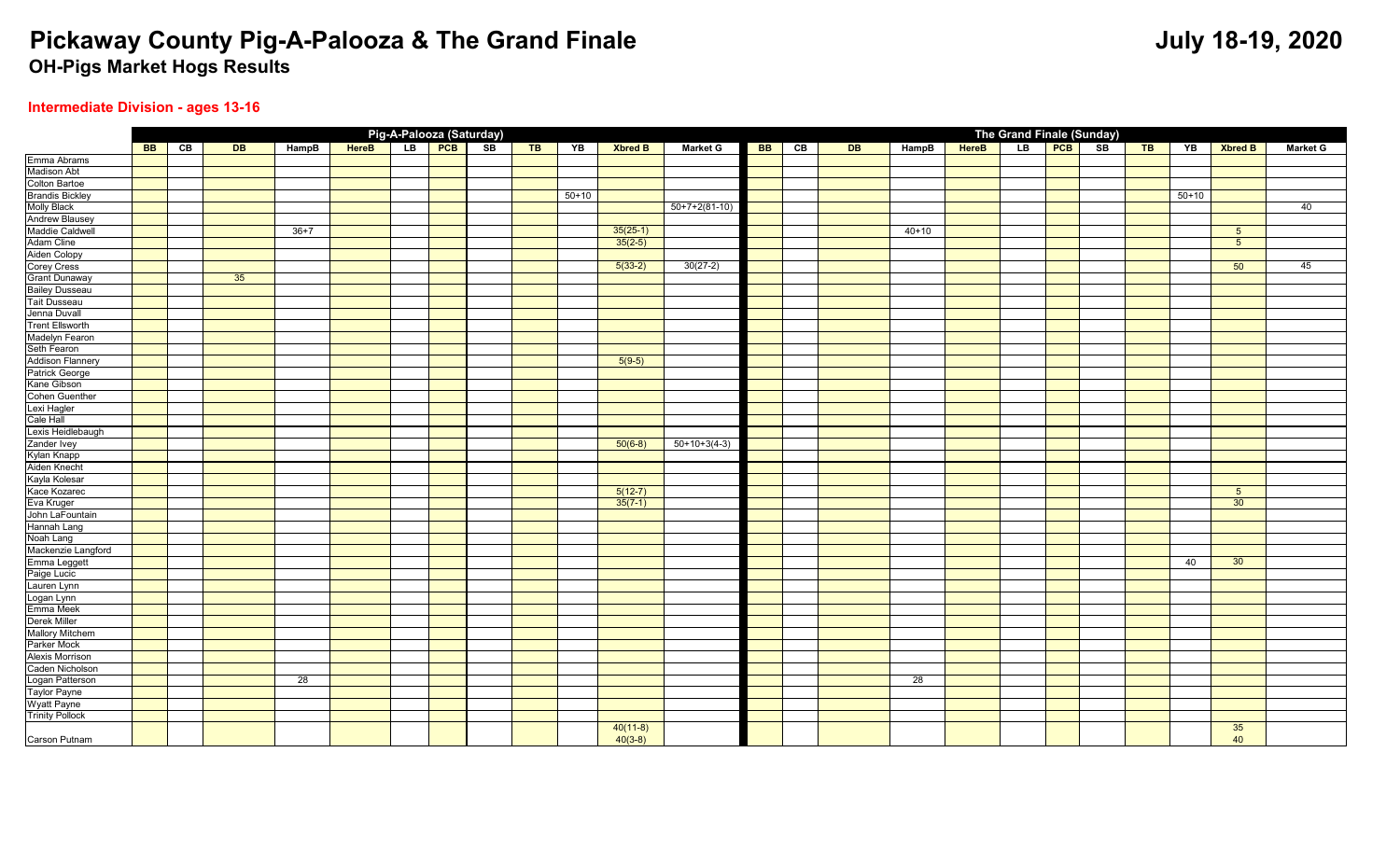### **Intermediate Division - ages 13-16**

|                             |    |    |    |          |              | Pig-A-Palooza (Saturday) |    |       |           |                |                 |    |    |    |           |       | The Grand Finale (Sunday) |     |    |       |           |                 |                 |
|-----------------------------|----|----|----|----------|--------------|--------------------------|----|-------|-----------|----------------|-----------------|----|----|----|-----------|-------|---------------------------|-----|----|-------|-----------|-----------------|-----------------|
|                             | BB | CB | DE | HampB    | <b>HereB</b> | LB PCB                   | SB | $T$ B | YB        | <b>Xbred B</b> | <b>Market G</b> | BB | CB | DE | HampB     | HereB | LB                        | PCB | SB | $T$ B | YB        | <b>Xbred B</b>  | <b>Market G</b> |
| Emma Abrams                 |    |    |    |          |              |                          |    |       |           |                |                 |    |    |    |           |       |                           |     |    |       |           |                 |                 |
| <b>Madison Abt</b>          |    |    |    |          |              |                          |    |       |           |                |                 |    |    |    |           |       |                           |     |    |       |           |                 |                 |
| Colton Bartoe               |    |    |    |          |              |                          |    |       |           |                |                 |    |    |    |           |       |                           |     |    |       |           |                 |                 |
| <b>Brandis Bickley</b>      |    |    |    |          |              |                          |    |       | $50 + 10$ |                |                 |    |    |    |           |       |                           |     |    |       | $50 + 10$ |                 |                 |
| <b>Molly Black</b>          |    |    |    |          |              |                          |    |       |           |                | $50+7+2(81-10)$ |    |    |    |           |       |                           |     |    |       |           |                 | 40              |
| Andrew Blausey              |    |    |    |          |              |                          |    |       |           |                |                 |    |    |    |           |       |                           |     |    |       |           |                 |                 |
| Maddie Caldwell             |    |    |    | $36 + 7$ |              |                          |    |       |           | $35(25-1)$     |                 |    |    |    | $40 + 10$ |       |                           |     |    |       |           | 5               |                 |
| Adam Cline                  |    |    |    |          |              |                          |    |       |           | $35(2-5)$      |                 |    |    |    |           |       |                           |     |    |       |           | $5\overline{5}$ |                 |
|                             |    |    |    |          |              |                          |    |       |           |                |                 |    |    |    |           |       |                           |     |    |       |           |                 |                 |
| Aiden Colopy<br>Corey Cress |    |    |    |          |              |                          |    |       |           | $5(33-2)$      | $30(27-2)$      |    |    |    |           |       |                           |     |    |       |           | 50              | 45              |
| Grant Dunaway               |    |    | 35 |          |              |                          |    |       |           |                |                 |    |    |    |           |       |                           |     |    |       |           |                 |                 |
| Bailey Dusseau              |    |    |    |          |              |                          |    |       |           |                |                 |    |    |    |           |       |                           |     |    |       |           |                 |                 |
| Tait Dusseau                |    |    |    |          |              |                          |    |       |           |                |                 |    |    |    |           |       |                           |     |    |       |           |                 |                 |
| Jenna Duvall                |    |    |    |          |              |                          |    |       |           |                |                 |    |    |    |           |       |                           |     |    |       |           |                 |                 |
| <b>Trent Ellsworth</b>      |    |    |    |          |              |                          |    |       |           |                |                 |    |    |    |           |       |                           |     |    |       |           |                 |                 |
| Madelyn Fearon              |    |    |    |          |              |                          |    |       |           |                |                 |    |    |    |           |       |                           |     |    |       |           |                 |                 |
| Seth Fearon                 |    |    |    |          |              |                          |    |       |           |                |                 |    |    |    |           |       |                           |     |    |       |           |                 |                 |
| <b>Addison Flannery</b>     |    |    |    |          |              |                          |    |       |           | $5(9-5)$       |                 |    |    |    |           |       |                           |     |    |       |           |                 |                 |
| Patrick George              |    |    |    |          |              |                          |    |       |           |                |                 |    |    |    |           |       |                           |     |    |       |           |                 |                 |
| Kane Gibson                 |    |    |    |          |              |                          |    |       |           |                |                 |    |    |    |           |       |                           |     |    |       |           |                 |                 |
| <b>Cohen Guenther</b>       |    |    |    |          |              |                          |    |       |           |                |                 |    |    |    |           |       |                           |     |    |       |           |                 |                 |
| Lexi Hagler                 |    |    |    |          |              |                          |    |       |           |                |                 |    |    |    |           |       |                           |     |    |       |           |                 |                 |
| Cale Hall                   |    |    |    |          |              |                          |    |       |           |                |                 |    |    |    |           |       |                           |     |    |       |           |                 |                 |
| Lexis Heidlebaugh           |    |    |    |          |              |                          |    |       |           |                |                 |    |    |    |           |       |                           |     |    |       |           |                 |                 |
| Zander Ivey                 |    |    |    |          |              |                          |    |       |           | $50(6-8)$      | $50+10+3(4-3)$  |    |    |    |           |       |                           |     |    |       |           |                 |                 |
| Kylan Knapp                 |    |    |    |          |              |                          |    |       |           |                |                 |    |    |    |           |       |                           |     |    |       |           |                 |                 |
| Aiden Knecht                |    |    |    |          |              |                          |    |       |           |                |                 |    |    |    |           |       |                           |     |    |       |           |                 |                 |
| Kayla Kolesar               |    |    |    |          |              |                          |    |       |           |                |                 |    |    |    |           |       |                           |     |    |       |           |                 |                 |
| Kace Kozarec                |    |    |    |          |              |                          |    |       |           | $5(12-7)$      |                 |    |    |    |           |       |                           |     |    |       |           | 5               |                 |
| Eva Kruger                  |    |    |    |          |              |                          |    |       |           | $35(7-1)$      |                 |    |    |    |           |       |                           |     |    |       |           | 30              |                 |
| John LaFountain             |    |    |    |          |              |                          |    |       |           |                |                 |    |    |    |           |       |                           |     |    |       |           |                 |                 |
| <b>Hannah Lang</b>          |    |    |    |          |              |                          |    |       |           |                |                 |    |    |    |           |       |                           |     |    |       |           |                 |                 |
| Noah Lang                   |    |    |    |          |              |                          |    |       |           |                |                 |    |    |    |           |       |                           |     |    |       |           |                 |                 |
| Mackenzie Langford          |    |    |    |          |              |                          |    |       |           |                |                 |    |    |    |           |       |                           |     |    |       |           |                 |                 |
| Emma Leggett                |    |    |    |          |              |                          |    |       |           |                |                 |    |    |    |           |       |                           |     |    |       | 40        | 30 <sup>°</sup> |                 |
| Paige Lucic                 |    |    |    |          |              |                          |    |       |           |                |                 |    |    |    |           |       |                           |     |    |       |           |                 |                 |
| Lauren Lynn                 |    |    |    |          |              |                          |    |       |           |                |                 |    |    |    |           |       |                           |     |    |       |           |                 |                 |
| Logan Lynn                  |    |    |    |          |              |                          |    |       |           |                |                 |    |    |    |           |       |                           |     |    |       |           |                 |                 |
| Emma Meek                   |    |    |    |          |              |                          |    |       |           |                |                 |    |    |    |           |       |                           |     |    |       |           |                 |                 |
| Derek Miller                |    |    |    |          |              |                          |    |       |           |                |                 |    |    |    |           |       |                           |     |    |       |           |                 |                 |
| <b>Mallory Mitchem</b>      |    |    |    |          |              |                          |    |       |           |                |                 |    |    |    |           |       |                           |     |    |       |           |                 |                 |
| Parker Mock                 |    |    |    |          |              |                          |    |       |           |                |                 |    |    |    |           |       |                           |     |    |       |           |                 |                 |
| <b>Alexis Morrison</b>      |    |    |    |          |              |                          |    |       |           |                |                 |    |    |    |           |       |                           |     |    |       |           |                 |                 |
| Caden Nicholson             |    |    |    |          |              |                          |    |       |           |                |                 |    |    |    |           |       |                           |     |    |       |           |                 |                 |
| Logan Patterson             |    |    |    | 28       |              |                          |    |       |           |                |                 |    |    |    | 28        |       |                           |     |    |       |           |                 |                 |
| Taylor Payne                |    |    |    |          |              |                          |    |       |           |                |                 |    |    |    |           |       |                           |     |    |       |           |                 |                 |
| Wyatt Payne                 |    |    |    |          |              |                          |    |       |           |                |                 |    |    |    |           |       |                           |     |    |       |           |                 |                 |
| <b>Trinity Pollock</b>      |    |    |    |          |              |                          |    |       |           |                |                 |    |    |    |           |       |                           |     |    |       |           |                 |                 |
|                             |    |    |    |          |              |                          |    |       |           | $40(11-8)$     |                 |    |    |    |           |       |                           |     |    |       |           | 35              |                 |
| Carson Putnam               |    |    |    |          |              |                          |    |       |           | $40(3-8)$      |                 |    |    |    |           |       |                           |     |    |       |           | 40              |                 |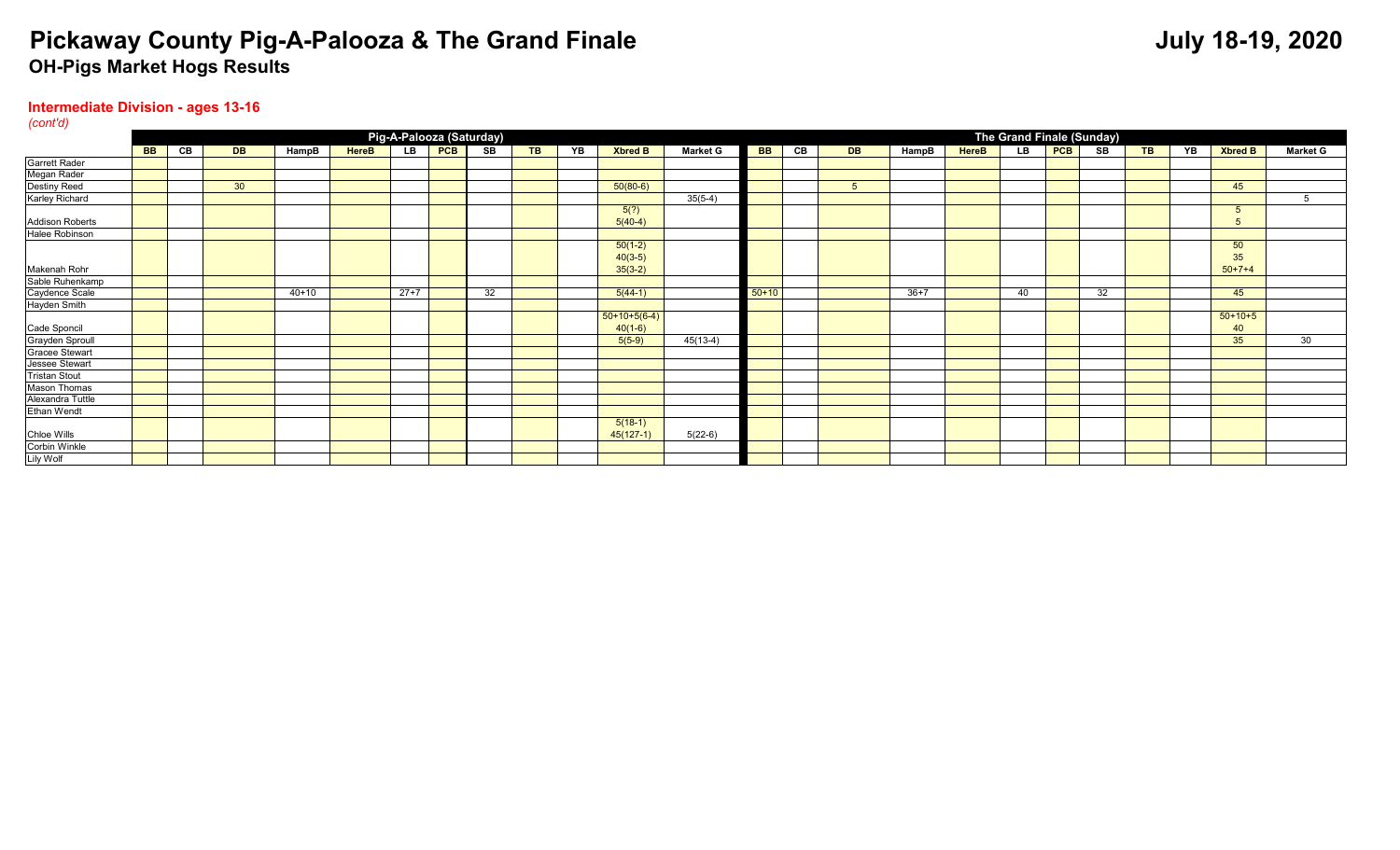#### **Intermediate Division - ages 13-16**

| (cont'd)               |                                                                                                                                                                                                                                                                 |  |                 |         |  |        |  |                          |  |  |                |            |         |  |  |                 |    |                           |  |           |    |
|------------------------|-----------------------------------------------------------------------------------------------------------------------------------------------------------------------------------------------------------------------------------------------------------------|--|-----------------|---------|--|--------|--|--------------------------|--|--|----------------|------------|---------|--|--|-----------------|----|---------------------------|--|-----------|----|
|                        |                                                                                                                                                                                                                                                                 |  |                 |         |  |        |  | Pig-A-Palooza (Saturday) |  |  |                |            |         |  |  |                 |    | The Grand Finale (Sunday) |  |           |    |
|                        | PCB<br><b>PCB</b><br>LB<br>SB<br>CВ<br>SB<br><b>TB</b><br><b>BB</b><br>CВ<br><b>LB</b><br><b>TB</b><br><b>BB</b><br><b>DB</b><br>HampB<br>YB<br><b>Market G</b><br><b>HereB</b><br>YB<br><b>HereB</b><br><b>Xbred B</b><br><b>DB</b><br>HampB<br><b>Xbred B</b> |  |                 |         |  |        |  |                          |  |  |                |            |         |  |  | <b>Market G</b> |    |                           |  |           |    |
| <b>Garrett Rader</b>   |                                                                                                                                                                                                                                                                 |  |                 |         |  |        |  |                          |  |  |                |            |         |  |  |                 |    |                           |  |           |    |
| Megan Rader            |                                                                                                                                                                                                                                                                 |  |                 |         |  |        |  |                          |  |  |                |            |         |  |  |                 |    |                           |  |           |    |
| Destiny Reed           |                                                                                                                                                                                                                                                                 |  | 30 <sup>°</sup> |         |  |        |  |                          |  |  | $50(80-6)$     |            |         |  |  |                 |    |                           |  | 45        |    |
| Karley Richard         |                                                                                                                                                                                                                                                                 |  |                 |         |  |        |  |                          |  |  |                | $35(5-4)$  |         |  |  |                 |    |                           |  |           | 5  |
|                        |                                                                                                                                                                                                                                                                 |  |                 |         |  |        |  |                          |  |  | 5(?)           |            |         |  |  |                 |    |                           |  |           |    |
| <b>Addison Roberts</b> |                                                                                                                                                                                                                                                                 |  |                 |         |  |        |  |                          |  |  | $5(40-4)$      |            |         |  |  |                 |    |                           |  |           |    |
| Halee Robinson         |                                                                                                                                                                                                                                                                 |  |                 |         |  |        |  |                          |  |  |                |            |         |  |  |                 |    |                           |  |           |    |
|                        |                                                                                                                                                                                                                                                                 |  |                 |         |  |        |  |                          |  |  | $50(1-2)$      |            |         |  |  |                 |    |                           |  | 50        |    |
|                        |                                                                                                                                                                                                                                                                 |  |                 |         |  |        |  |                          |  |  | $40(3-5)$      |            |         |  |  |                 |    |                           |  | 35        |    |
| Makenah Rohr           |                                                                                                                                                                                                                                                                 |  |                 |         |  |        |  |                          |  |  | $35(3-2)$      |            |         |  |  |                 |    |                           |  | $50+7+4$  |    |
| Sable Ruhenkamp        |                                                                                                                                                                                                                                                                 |  |                 |         |  |        |  |                          |  |  |                |            |         |  |  |                 |    |                           |  |           |    |
| Caydence Scale         |                                                                                                                                                                                                                                                                 |  |                 | $40+10$ |  | $27+7$ |  | 32                       |  |  | $5(44-1)$      |            | $50+10$ |  |  | $36+7$          | 40 | 32                        |  | 45        |    |
| <b>Hayden Smith</b>    |                                                                                                                                                                                                                                                                 |  |                 |         |  |        |  |                          |  |  |                |            |         |  |  |                 |    |                           |  |           |    |
|                        |                                                                                                                                                                                                                                                                 |  |                 |         |  |        |  |                          |  |  | $50+10+5(6-4)$ |            |         |  |  |                 |    |                           |  | $50+10+5$ |    |
| Cade Sponcil           |                                                                                                                                                                                                                                                                 |  |                 |         |  |        |  |                          |  |  | $40(1-6)$      |            |         |  |  |                 |    |                           |  | 40        |    |
| Grayden Sproull        |                                                                                                                                                                                                                                                                 |  |                 |         |  |        |  |                          |  |  | $5(5-9)$       | $45(13-4)$ |         |  |  |                 |    |                           |  | 35        | 30 |
| <b>Gracee Stewart</b>  |                                                                                                                                                                                                                                                                 |  |                 |         |  |        |  |                          |  |  |                |            |         |  |  |                 |    |                           |  |           |    |
| Jessee Stewart         |                                                                                                                                                                                                                                                                 |  |                 |         |  |        |  |                          |  |  |                |            |         |  |  |                 |    |                           |  |           |    |
| <b>Tristan Stout</b>   |                                                                                                                                                                                                                                                                 |  |                 |         |  |        |  |                          |  |  |                |            |         |  |  |                 |    |                           |  |           |    |
| <b>Mason Thomas</b>    |                                                                                                                                                                                                                                                                 |  |                 |         |  |        |  |                          |  |  |                |            |         |  |  |                 |    |                           |  |           |    |
| Alexandra Tuttle       |                                                                                                                                                                                                                                                                 |  |                 |         |  |        |  |                          |  |  |                |            |         |  |  |                 |    |                           |  |           |    |
| <b>Ethan Wendt</b>     |                                                                                                                                                                                                                                                                 |  |                 |         |  |        |  |                          |  |  |                |            |         |  |  |                 |    |                           |  |           |    |
|                        |                                                                                                                                                                                                                                                                 |  |                 |         |  |        |  |                          |  |  | $5(18-1)$      |            |         |  |  |                 |    |                           |  |           |    |
| Chloe Wills            |                                                                                                                                                                                                                                                                 |  |                 |         |  |        |  |                          |  |  | $45(127-1)$    | $5(22-6)$  |         |  |  |                 |    |                           |  |           |    |
| Corbin Winkle          |                                                                                                                                                                                                                                                                 |  |                 |         |  |        |  |                          |  |  |                |            |         |  |  |                 |    |                           |  |           |    |
| Lily Wolf              |                                                                                                                                                                                                                                                                 |  |                 |         |  |        |  |                          |  |  |                |            |         |  |  |                 |    |                           |  |           |    |